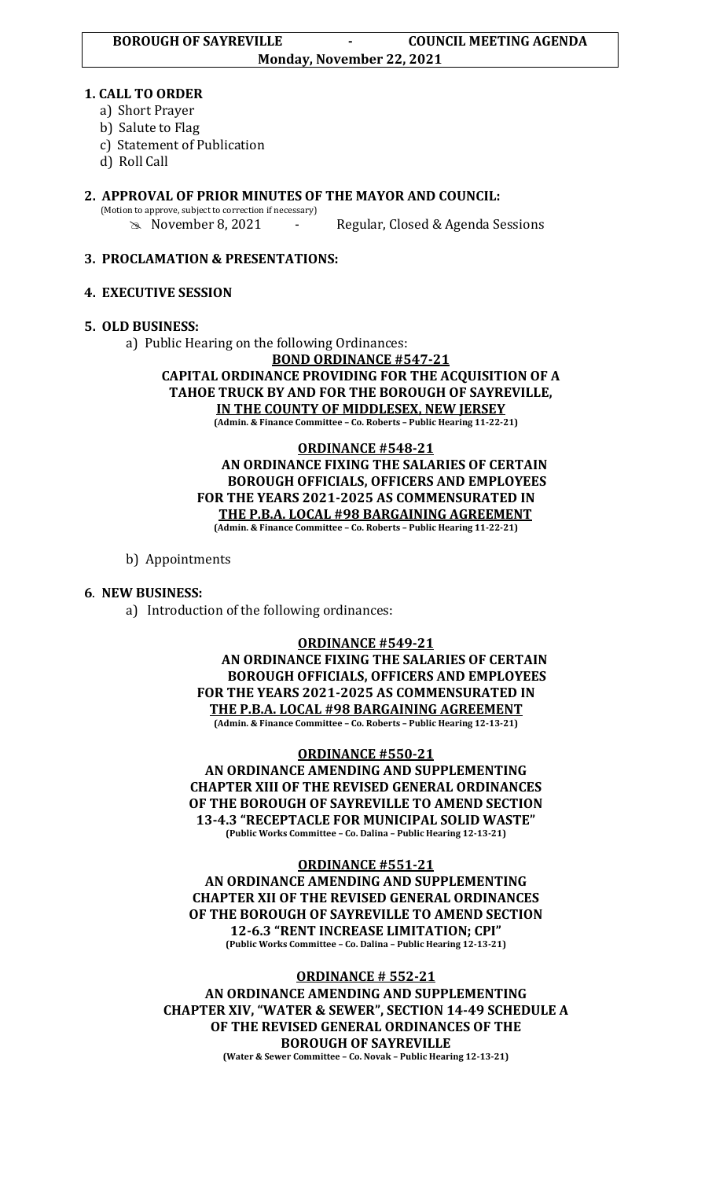#### **1. CALL TO ORDER**

- a) Short Prayer
- b) Salute to Flag
- c) Statement of Publication
- d) Roll Call

# **2. APPROVAL OF PRIOR MINUTES OF THE MAYOR AND COUNCIL:**

(Motion to approve, subject to correction if necessary)

November 8, 2021 - Regular, Closed & Agenda Sessions

## **3. PROCLAMATION & PRESENTATIONS:**

## **4. EXECUTIVE SESSION**

#### **5. OLD BUSINESS:**

a) Public Hearing on the following Ordinances:

**BOND ORDINANCE #547-21**

**CAPITAL ORDINANCE PROVIDING FOR THE ACQUISITION OF A TAHOE TRUCK BY AND FOR THE BOROUGH OF SAYREVILLE, IN THE COUNTY OF MIDDLESEX, NEW JERSEY (Admin. & Finance Committee – Co. Roberts – Public Hearing 11-22-21)**

**ORDINANCE #548-21 AN ORDINANCE FIXING THE SALARIES OF CERTAIN BOROUGH OFFICIALS, OFFICERS AND EMPLOYEES FOR THE YEARS 2021-2025 AS COMMENSURATED IN THE P.B.A. LOCAL #98 BARGAINING AGREEMENT (Admin. & Finance Committee – Co. Roberts – Public Hearing 11-22-21)**

## b) Appointments

## **6**. **NEW BUSINESS:**

a) Introduction of the following ordinances:

#### **ORDINANCE #549-21**

**AN ORDINANCE FIXING THE SALARIES OF CERTAIN BOROUGH OFFICIALS, OFFICERS AND EMPLOYEES FOR THE YEARS 2021-2025 AS COMMENSURATED IN THE P.B.A. LOCAL #98 BARGAINING AGREEMENT (Admin. & Finance Committee – Co. Roberts – Public Hearing 12-13-21)**

#### **ORDINANCE #550-21**

**AN ORDINANCE AMENDING AND SUPPLEMENTING CHAPTER XIII OF THE REVISED GENERAL ORDINANCES OF THE BOROUGH OF SAYREVILLE TO AMEND SECTION 13-4.3 "RECEPTACLE FOR MUNICIPAL SOLID WASTE" (Public Works Committee – Co. Dalina – Public Hearing 12-13-21)**

#### **ORDINANCE #551-21**

**AN ORDINANCE AMENDING AND SUPPLEMENTING CHAPTER XII OF THE REVISED GENERAL ORDINANCES OF THE BOROUGH OF SAYREVILLE TO AMEND SECTION 12-6.3 "RENT INCREASE LIMITATION; CPI" (Public Works Committee – Co. Dalina – Public Hearing 12-13-21)**

#### **ORDINANCE # 552-21**

**AN ORDINANCE AMENDING AND SUPPLEMENTING CHAPTER XIV, "WATER & SEWER", SECTION 14-49 SCHEDULE A OF THE REVISED GENERAL ORDINANCES OF THE BOROUGH OF SAYREVILLE (Water & Sewer Committee – Co. Novak – Public Hearing 12-13-21)**